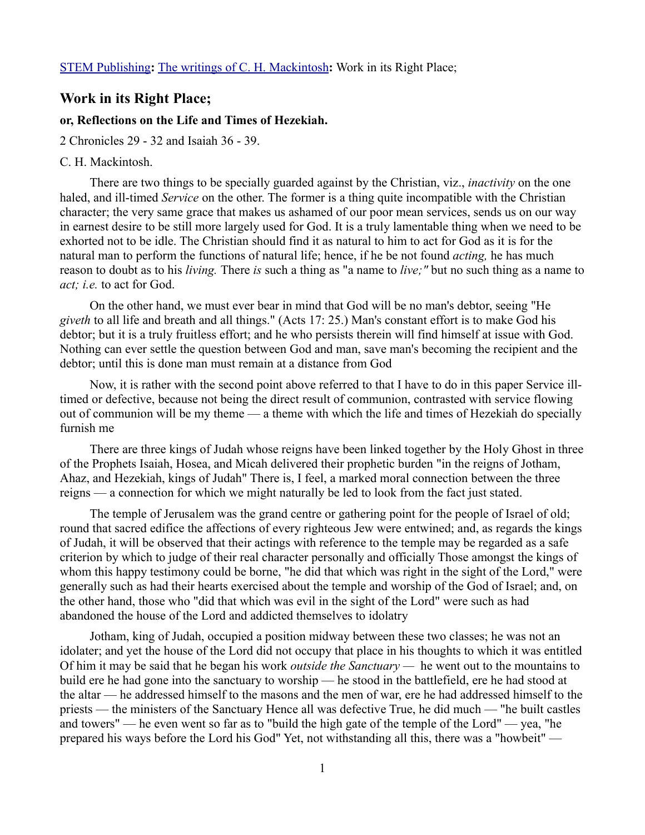## **Work in its Right Place;**

## **or, Reflections on the Life and Times of Hezekiah.**

2 Chronicles 29 - 32 and Isaiah 36 - 39.

## C. H. Mackintosh.

There are two things to be specially guarded against by the Christian, viz., *inactivity* on the one haled, and ill-timed *Service* on the other. The former is a thing quite incompatible with the Christian character; the very same grace that makes us ashamed of our poor mean services, sends us on our way in earnest desire to be still more largely used for God. It is a truly lamentable thing when we need to be exhorted not to be idle. The Christian should find it as natural to him to act for God as it is for the natural man to perform the functions of natural life; hence, if he be not found *acting,* he has much reason to doubt as to his *living.* There *is* such a thing as "a name to *live;"* but no such thing as a name to *act; i.e.* to act for God.

On the other hand, we must ever bear in mind that God will be no man's debtor, seeing "He *giveth* to all life and breath and all things." (Acts 17: 25.) Man's constant effort is to make God his debtor; but it is a truly fruitless effort; and he who persists therein will find himself at issue with God. Nothing can ever settle the question between God and man, save man's becoming the recipient and the debtor; until this is done man must remain at a distance from God

Now, it is rather with the second point above referred to that I have to do in this paper Service illtimed or defective, because not being the direct result of communion, contrasted with service flowing out of communion will be my theme — a theme with which the life and times of Hezekiah do specially furnish me

There are three kings of Judah whose reigns have been linked together by the Holy Ghost in three of the Prophets Isaiah, Hosea, and Micah delivered their prophetic burden "in the reigns of Jotham, Ahaz, and Hezekiah, kings of Judah" There is, I feel, a marked moral connection between the three reigns — a connection for which we might naturally be led to look from the fact just stated.

The temple of Jerusalem was the grand centre or gathering point for the people of Israel of old; round that sacred edifice the affections of every righteous Jew were entwined; and, as regards the kings of Judah, it will be observed that their actings with reference to the temple may be regarded as a safe criterion by which to judge of their real character personally and officially Those amongst the kings of whom this happy testimony could be borne, "he did that which was right in the sight of the Lord," were generally such as had their hearts exercised about the temple and worship of the God of Israel; and, on the other hand, those who "did that which was evil in the sight of the Lord" were such as had abandoned the house of the Lord and addicted themselves to idolatry

Jotham, king of Judah, occupied a position midway between these two classes; he was not an idolater; and yet the house of the Lord did not occupy that place in his thoughts to which it was entitled Of him it may be said that he began his work *outside the Sanctuary —* he went out to the mountains to build ere he had gone into the sanctuary to worship — he stood in the battlefield, ere he had stood at the altar — he addressed himself to the masons and the men of war, ere he had addressed himself to the priests — the ministers of the Sanctuary Hence all was defective True, he did much — "he built castles and towers" — he even went so far as to "build the high gate of the temple of the Lord" — yea, "he prepared his ways before the Lord his God" Yet, not withstanding all this, there was a "howbeit" —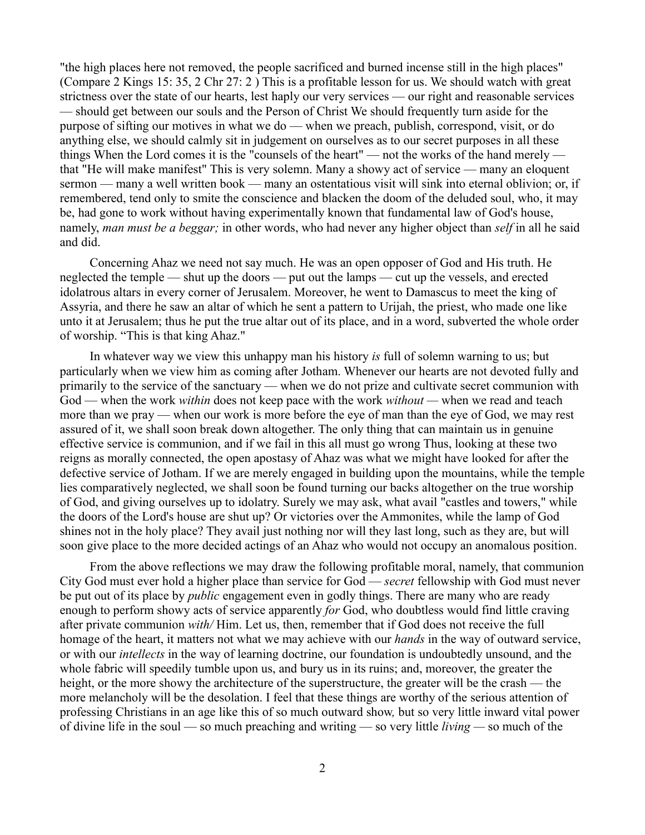"the high places here not removed, the people sacrificed and burned incense still in the high places" (Compare 2 Kings 15: 35, 2 Chr 27: 2 ) This is a profitable lesson for us. We should watch with great strictness over the state of our hearts, lest haply our very services — our right and reasonable services — should get between our souls and the Person of Christ We should frequently turn aside for the purpose of sifting our motives in what we do — when we preach, publish, correspond, visit, or do anything else, we should calmly sit in judgement on ourselves as to our secret purposes in all these things When the Lord comes it is the "counsels of the heart" — not the works of the hand merely that "He will make manifest" This is very solemn. Many a showy act of service — many an eloquent sermon — many a well written book — many an ostentatious visit will sink into eternal oblivion; or, if remembered, tend only to smite the conscience and blacken the doom of the deluded soul, who, it may be, had gone to work without having experimentally known that fundamental law of God's house, namely, *man must be a beggar;* in other words, who had never any higher object than *self* in all he said and did.

Concerning Ahaz we need not say much. He was an open opposer of God and His truth. He neglected the temple — shut up the doors — put out the lamps — cut up the vessels, and erected idolatrous altars in every corner of Jerusalem. Moreover, he went to Damascus to meet the king of Assyria, and there he saw an altar of which he sent a pattern to Urijah, the priest, who made one like unto it at Jerusalem; thus he put the true altar out of its place, and in a word, subverted the whole order of worship. "This is that king Ahaz."

In whatever way we view this unhappy man his history *is* full of solemn warning to us; but particularly when we view him as coming after Jotham. Whenever our hearts are not devoted fully and primarily to the service of the sanctuary — when we do not prize and cultivate secret communion with God — when the work *within* does not keep pace with the work *without —* when we read and teach more than we pray — when our work is more before the eye of man than the eye of God, we may rest assured of it, we shall soon break down altogether. The only thing that can maintain us in genuine effective service is communion, and if we fail in this all must go wrong Thus, looking at these two reigns as morally connected, the open apostasy of Ahaz was what we might have looked for after the defective service of Jotham. If we are merely engaged in building upon the mountains, while the temple lies comparatively neglected, we shall soon be found turning our backs altogether on the true worship of God, and giving ourselves up to idolatry. Surely we may ask, what avail "castles and towers," while the doors of the Lord's house are shut up? Or victories over the Ammonites, while the lamp of God shines not in the holy place? They avail just nothing nor will they last long, such as they are, but will soon give place to the more decided actings of an Ahaz who would not occupy an anomalous position.

From the above reflections we may draw the following profitable moral, namely, that communion City God must ever hold a higher place than service for God — *secret* fellowship with God must never be put out of its place by *public* engagement even in godly things. There are many who are ready enough to perform showy acts of service apparently *for* God, who doubtless would find little craving after private communion *with/* Him. Let us, then, remember that if God does not receive the full homage of the heart, it matters not what we may achieve with our *hands* in the way of outward service, or with our *intellects* in the way of learning doctrine, our foundation is undoubtedly unsound, and the whole fabric will speedily tumble upon us, and bury us in its ruins; and, moreover, the greater the height, or the more showy the architecture of the superstructure, the greater will be the crash — the more melancholy will be the desolation. I feel that these things are worthy of the serious attention of professing Christians in an age like this of so much outward show*,* but so very little inward vital power of divine life in the soul — so much preaching and writing — so very little *living —* so much of the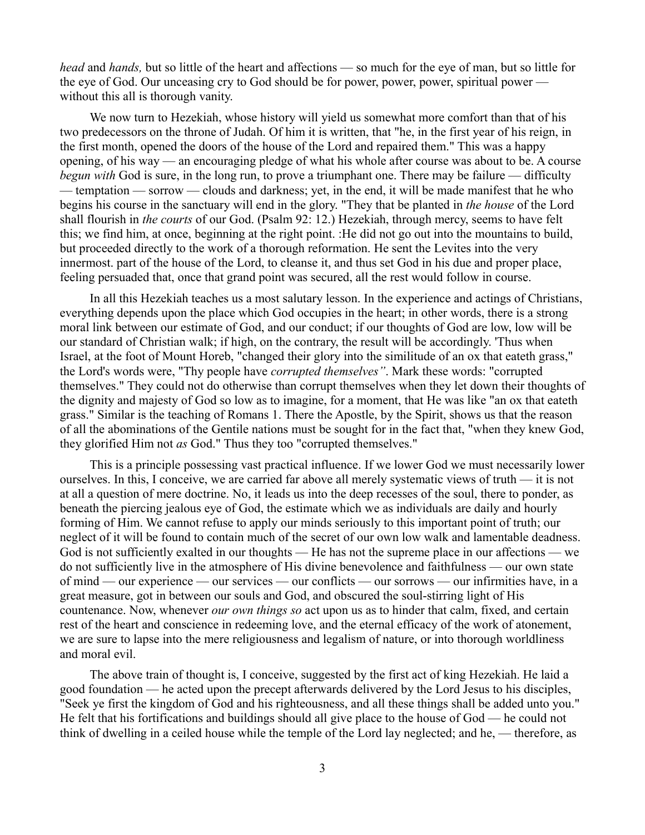*head* and *hands,* but so little of the heart and affections — so much for the eye of man, but so little for the eye of God. Our unceasing cry to God should be for power, power, power, spiritual power without this all is thorough vanity.

We now turn to Hezekiah, whose history will yield us somewhat more comfort than that of his two predecessors on the throne of Judah. Of him it is written, that "he, in the first year of his reign, in the first month, opened the doors of the house of the Lord and repaired them." This was a happy opening, of his way — an encouraging pledge of what his whole after course was about to be. A course *begun with* God is sure, in the long run, to prove a triumphant one. There may be failure — difficulty — temptation — sorrow — clouds and darkness; yet, in the end, it will be made manifest that he who begins his course in the sanctuary will end in the glory. "They that be planted in *the house* of the Lord shall flourish in *the courts* of our God. (Psalm 92: 12.) Hezekiah, through mercy, seems to have felt this; we find him, at once, beginning at the right point. :He did not go out into the mountains to build, but proceeded directly to the work of a thorough reformation. He sent the Levites into the very innermost. part of the house of the Lord, to cleanse it, and thus set God in his due and proper place, feeling persuaded that, once that grand point was secured, all the rest would follow in course.

In all this Hezekiah teaches us a most salutary lesson. In the experience and actings of Christians, everything depends upon the place which God occupies in the heart; in other words, there is a strong moral link between our estimate of God, and our conduct; if our thoughts of God are low, low will be our standard of Christian walk; if high, on the contrary, the result will be accordingly. 'Thus when Israel, at the foot of Mount Horeb, "changed their glory into the similitude of an ox that eateth grass," the Lord's words were, "Thy people have *corrupted themselves"*. Mark these words: "corrupted themselves." They could not do otherwise than corrupt themselves when they let down their thoughts of the dignity and majesty of God so low as to imagine, for a moment, that He was like "an ox that eateth grass." Similar is the teaching of Romans 1. There the Apostle, by the Spirit, shows us that the reason of all the abominations of the Gentile nations must be sought for in the fact that, "when they knew God, they glorified Him not *as* God." Thus they too "corrupted themselves."

This is a principle possessing vast practical influence. If we lower God we must necessarily lower ourselves. In this, I conceive, we are carried far above all merely systematic views of truth — it is not at all a question of mere doctrine. No, it leads us into the deep recesses of the soul, there to ponder, as beneath the piercing jealous eye of God, the estimate which we as individuals are daily and hourly forming of Him. We cannot refuse to apply our minds seriously to this important point of truth; our neglect of it will be found to contain much of the secret of our own low walk and lamentable deadness. God is not sufficiently exalted in our thoughts — He has not the supreme place in our affections — we do not sufficiently live in the atmosphere of His divine benevolence and faithfulness — our own state of mind — our experience — our services — our conflicts — our sorrows — our infirmities have, in a great measure, got in between our souls and God, and obscured the soul-stirring light of His countenance. Now, whenever *our own things so* act upon us as to hinder that calm, fixed, and certain rest of the heart and conscience in redeeming love, and the eternal efficacy of the work of atonement, we are sure to lapse into the mere religiousness and legalism of nature, or into thorough worldliness and moral evil.

The above train of thought is, I conceive, suggested by the first act of king Hezekiah. He laid a good foundation — he acted upon the precept afterwards delivered by the Lord Jesus to his disciples, "Seek ye first the kingdom of God and his righteousness, and all these things shall be added unto you." He felt that his fortifications and buildings should all give place to the house of God — he could not think of dwelling in a ceiled house while the temple of the Lord lay neglected; and he, — therefore, as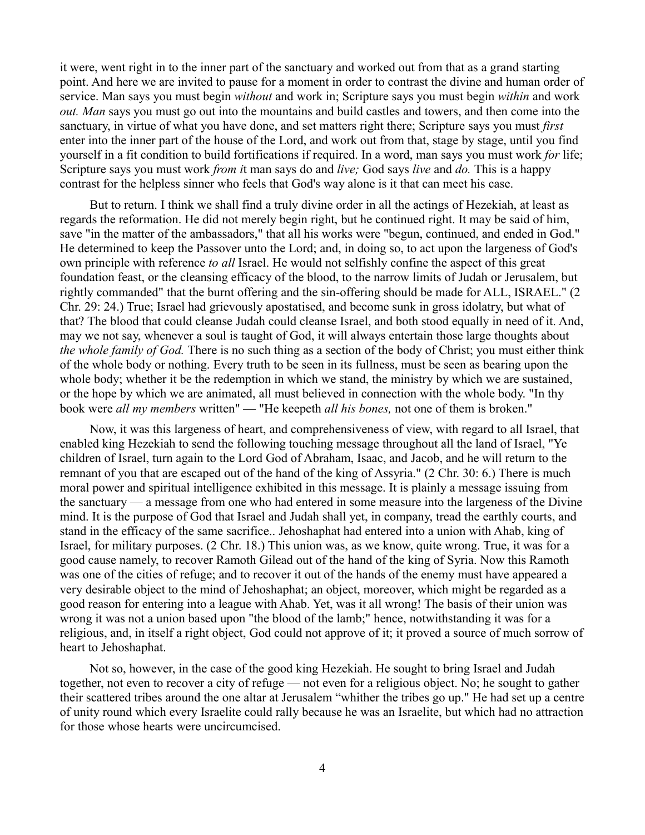it were, went right in to the inner part of the sanctuary and worked out from that as a grand starting point. And here we are invited to pause for a moment in order to contrast the divine and human order of service. Man says you must begin *without* and work in; Scripture says you must begin *within* and work *out. Man* says you must go out into the mountains and build castles and towers, and then come into the sanctuary, in virtue of what you have done, and set matters right there; Scripture says you must *first* enter into the inner part of the house of the Lord, and work out from that, stage by stage, until you find yourself in a fit condition to build fortifications if required. In a word, man says you must work *for* life; Scripture says you must work *from i*t man says do and *live;* God says *live* and *do.* This is a happy contrast for the helpless sinner who feels that God's way alone is it that can meet his case.

But to return. I think we shall find a truly divine order in all the actings of Hezekiah, at least as regards the reformation. He did not merely begin right, but he continued right. It may be said of him, save "in the matter of the ambassadors," that all his works were "begun, continued, and ended in God." He determined to keep the Passover unto the Lord; and, in doing so, to act upon the largeness of God's own principle with reference *to all* Israel. He would not selfishly confine the aspect of this great foundation feast, or the cleansing efficacy of the blood, to the narrow limits of Judah or Jerusalem, but rightly commanded" that the burnt offering and the sin-offering should be made for ALL, ISRAEL." (2 Chr. 29: 24.) True; Israel had grievously apostatised, and become sunk in gross idolatry, but what of that? The blood that could cleanse Judah could cleanse Israel, and both stood equally in need of it. And, may we not say, whenever a soul is taught of God, it will always entertain those large thoughts about *the whole family of God.* There is no such thing as a section of the body of Christ; you must either think of the whole body or nothing. Every truth to be seen in its fullness, must be seen as bearing upon the whole body; whether it be the redemption in which we stand, the ministry by which we are sustained, or the hope by which we are animated, all must believed in connection with the whole body. "In thy book were *all my members* written" — "He keepeth *all his bones,* not one of them is broken."

Now, it was this largeness of heart, and comprehensiveness of view, with regard to all Israel, that enabled king Hezekiah to send the following touching message throughout all the land of Israel, "Ye children of Israel, turn again to the Lord God of Abraham, Isaac, and Jacob, and he will return to the remnant of you that are escaped out of the hand of the king of Assyria." (2 Chr. 30: 6.) There is much moral power and spiritual intelligence exhibited in this message. It is plainly a message issuing from the sanctuary — a message from one who had entered in some measure into the largeness of the Divine mind. It is the purpose of God that Israel and Judah shall yet, in company, tread the earthly courts, and stand in the efficacy of the same sacrifice.. Jehoshaphat had entered into a union with Ahab, king of Israel, for military purposes. (2 Chr. 18.) This union was, as we know, quite wrong. True, it was for a good cause namely, to recover Ramoth Gilead out of the hand of the king of Syria. Now this Ramoth was one of the cities of refuge; and to recover it out of the hands of the enemy must have appeared a very desirable object to the mind of Jehoshaphat; an object, moreover, which might be regarded as a good reason for entering into a league with Ahab. Yet, was it all wrong! The basis of their union was wrong it was not a union based upon "the blood of the lamb;" hence, notwithstanding it was for a religious, and, in itself a right object, God could not approve of it; it proved a source of much sorrow of heart to Jehoshaphat.

Not so, however, in the case of the good king Hezekiah. He sought to bring Israel and Judah together, not even to recover a city of refuge — not even for a religious object. No; he sought to gather their scattered tribes around the one altar at Jerusalem "whither the tribes go up." He had set up a centre of unity round which every Israelite could rally because he was an Israelite, but which had no attraction for those whose hearts were uncircumcised.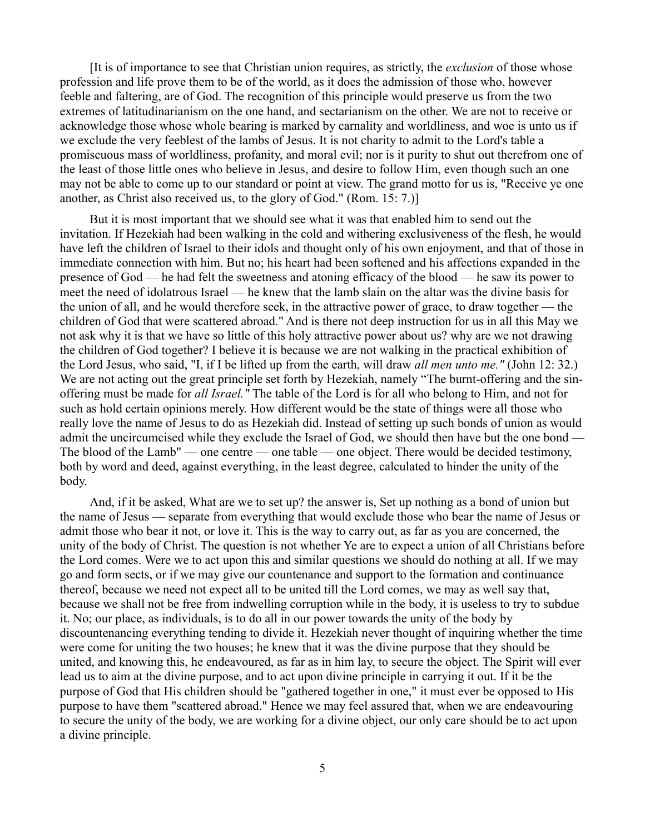[It is of importance to see that Christian union requires, as strictly, the *exclusion* of those whose profession and life prove them to be of the world, as it does the admission of those who, however feeble and faltering, are of God. The recognition of this principle would preserve us from the two extremes of latitudinarianism on the one hand, and sectarianism on the other. We are not to receive or acknowledge those whose whole bearing is marked by carnality and worldliness, and woe is unto us if we exclude the very feeblest of the lambs of Jesus. It is not charity to admit to the Lord's table a promiscuous mass of worldliness, profanity, and moral evil; nor is it purity to shut out therefrom one of the least of those little ones who believe in Jesus, and desire to follow Him, even though such an one may not be able to come up to our standard or point at view. The grand motto for us is, "Receive ye one another, as Christ also received us, to the glory of God." (Rom. 15: 7.)]

But it is most important that we should see what it was that enabled him to send out the invitation. If Hezekiah had been walking in the cold and withering exclusiveness of the flesh, he would have left the children of Israel to their idols and thought only of his own enjoyment, and that of those in immediate connection with him. But no; his heart had been softened and his affections expanded in the presence of God — he had felt the sweetness and atoning efficacy of the blood — he saw its power to meet the need of idolatrous Israel — he knew that the lamb slain on the altar was the divine basis for the union of all, and he would therefore seek, in the attractive power of grace, to draw together — the children of God that were scattered abroad." And is there not deep instruction for us in all this May we not ask why it is that we have so little of this holy attractive power about us? why are we not drawing the children of God together? I believe it is because we are not walking in the practical exhibition of the Lord Jesus, who said, "I, if I be lifted up from the earth, will draw *all men unto me."* (John 12: 32.) We are not acting out the great principle set forth by Hezekiah, namely "The burnt-offering and the sinoffering must be made for *all Israel."* The table of the Lord is for all who belong to Him, and not for such as hold certain opinions merely. How different would be the state of things were all those who really love the name of Jesus to do as Hezekiah did. Instead of setting up such bonds of union as would admit the uncircumcised while they exclude the Israel of God, we should then have but the one bond — The blood of the Lamb" — one centre — one table — one object. There would be decided testimony, both by word and deed, against everything, in the least degree, calculated to hinder the unity of the body.

And, if it be asked, What are we to set up? the answer is, Set up nothing as a bond of union but the name of Jesus — separate from everything that would exclude those who bear the name of Jesus or admit those who bear it not, or love it. This is the way to carry out, as far as you are concerned, the unity of the body of Christ. The question is not whether Ye are to expect a union of all Christians before the Lord comes. Were we to act upon this and similar questions we should do nothing at all. If we may go and form sects, or if we may give our countenance and support to the formation and continuance thereof, because we need not expect all to be united till the Lord comes, we may as well say that, because we shall not be free from indwelling corruption while in the body, it is useless to try to subdue it. No; our place, as individuals, is to do all in our power towards the unity of the body by discountenancing everything tending to divide it. Hezekiah never thought of inquiring whether the time were come for uniting the two houses; he knew that it was the divine purpose that they should be united, and knowing this, he endeavoured, as far as in him lay, to secure the object. The Spirit will ever lead us to aim at the divine purpose, and to act upon divine principle in carrying it out. If it be the purpose of God that His children should be "gathered together in one," it must ever be opposed to His purpose to have them "scattered abroad." Hence we may feel assured that, when we are endeavouring to secure the unity of the body, we are working for a divine object, our only care should be to act upon a divine principle.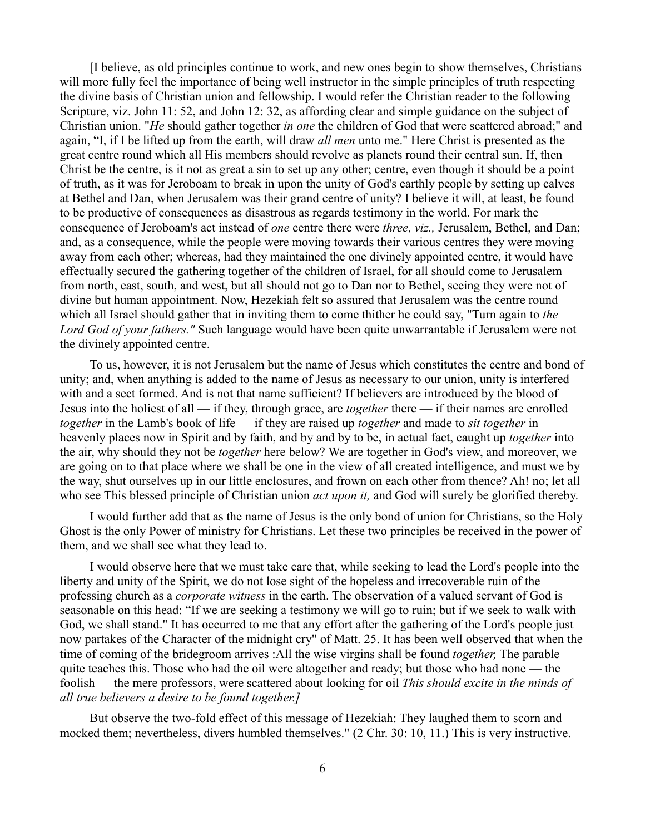[I believe, as old principles continue to work, and new ones begin to show themselves, Christians will more fully feel the importance of being well instructor in the simple principles of truth respecting the divine basis of Christian union and fellowship. I would refer the Christian reader to the following Scripture, viz. John 11: 52, and John 12: 32, as affording clear and simple guidance on the subject of Christian union. "*He* should gather together *in one* the children of God that were scattered abroad;" and again, "I, if I be lifted up from the earth, will draw *all men* unto me." Here Christ is presented as the great centre round which all His members should revolve as planets round their central sun. If, then Christ be the centre, is it not as great a sin to set up any other; centre, even though it should be a point of truth, as it was for Jeroboam to break in upon the unity of God's earthly people by setting up calves at Bethel and Dan, when Jerusalem was their grand centre of unity? I believe it will, at least, be found to be productive of consequences as disastrous as regards testimony in the world. For mark the consequence of Jeroboam's act instead of *one* centre there were *three, viz.,* Jerusalem, Bethel, and Dan; and, as a consequence, while the people were moving towards their various centres they were moving away from each other; whereas, had they maintained the one divinely appointed centre, it would have effectually secured the gathering together of the children of Israel, for all should come to Jerusalem from north, east, south, and west, but all should not go to Dan nor to Bethel, seeing they were not of divine but human appointment. Now, Hezekiah felt so assured that Jerusalem was the centre round which all Israel should gather that in inviting them to come thither he could say, "Turn again to *the Lord God of your fathers."* Such language would have been quite unwarrantable if Jerusalem were not the divinely appointed centre.

To us, however, it is not Jerusalem but the name of Jesus which constitutes the centre and bond of unity; and, when anything is added to the name of Jesus as necessary to our union, unity is interfered with and a sect formed. And is not that name sufficient? If believers are introduced by the blood of Jesus into the holiest of all — if they, through grace, are *together* there — if their names are enrolled *together* in the Lamb's book of life — if they are raised up *together* and made to *sit together* in heavenly places now in Spirit and by faith, and by and by to be, in actual fact, caught up *together* into the air, why should they not be *together* here below? We are together in God's view, and moreover, we are going on to that place where we shall be one in the view of all created intelligence, and must we by the way, shut ourselves up in our little enclosures, and frown on each other from thence? Ah! no; let all who see This blessed principle of Christian union *act upon it,* and God will surely be glorified thereby.

I would further add that as the name of Jesus is the only bond of union for Christians, so the Holy Ghost is the only Power of ministry for Christians. Let these two principles be received in the power of them, and we shall see what they lead to.

I would observe here that we must take care that, while seeking to lead the Lord's people into the liberty and unity of the Spirit, we do not lose sight of the hopeless and irrecoverable ruin of the professing church as a *corporate witness* in the earth. The observation of a valued servant of God is seasonable on this head: "If we are seeking a testimony we will go to ruin; but if we seek to walk with God, we shall stand." It has occurred to me that any effort after the gathering of the Lord's people just now partakes of the Character of the midnight cry" of Matt. 25. It has been well observed that when the time of coming of the bridegroom arrives :All the wise virgins shall be found *together,* The parable quite teaches this. Those who had the oil were altogether and ready; but those who had none — the foolish — the mere professors, were scattered about looking for oil *This should excite in the minds of all true believers a desire to be found together.]*

But observe the two-fold effect of this message of Hezekiah: They laughed them to scorn and mocked them; nevertheless, divers humbled themselves." (2 Chr. 30: 10, 11.) This is very instructive.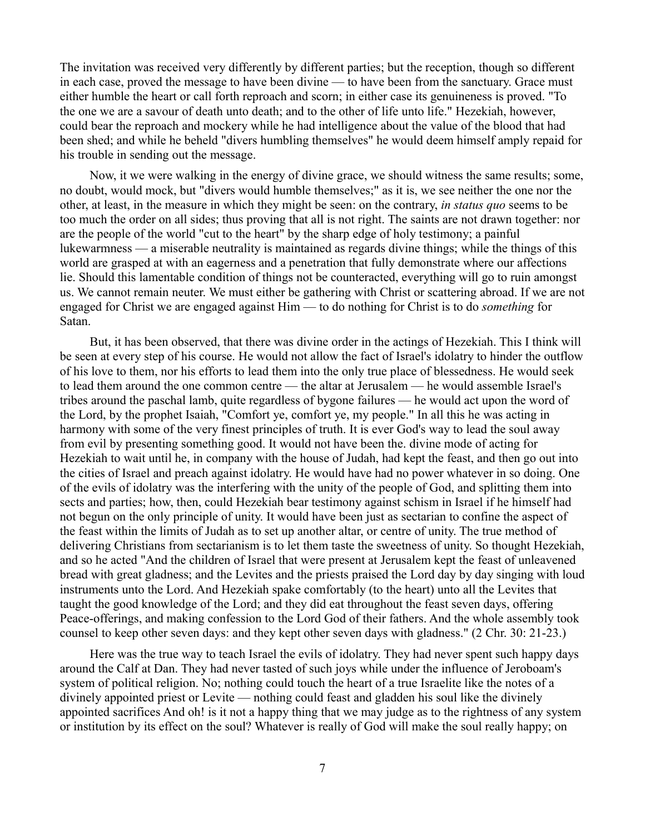The invitation was received very differently by different parties; but the reception, though so different in each case, proved the message to have been divine — to have been from the sanctuary. Grace must either humble the heart or call forth reproach and scorn; in either case its genuineness is proved. "To the one we are a savour of death unto death; and to the other of life unto life." Hezekiah, however, could bear the reproach and mockery while he had intelligence about the value of the blood that had been shed; and while he beheld "divers humbling themselves" he would deem himself amply repaid for his trouble in sending out the message.

Now, it we were walking in the energy of divine grace, we should witness the same results; some, no doubt, would mock, but "divers would humble themselves;" as it is, we see neither the one nor the other, at least, in the measure in which they might be seen: on the contrary, *in status quo* seems to be too much the order on all sides; thus proving that all is not right. The saints are not drawn together: nor are the people of the world "cut to the heart" by the sharp edge of holy testimony; a painful lukewarmness — a miserable neutrality is maintained as regards divine things; while the things of this world are grasped at with an eagerness and a penetration that fully demonstrate where our affections lie. Should this lamentable condition of things not be counteracted, everything will go to ruin amongst us. We cannot remain neuter. We must either be gathering with Christ or scattering abroad. If we are not engaged for Christ we are engaged against Him — to do nothing for Christ is to do *something* for Satan.

But, it has been observed, that there was divine order in the actings of Hezekiah. This I think will be seen at every step of his course. He would not allow the fact of Israel's idolatry to hinder the outflow of his love to them, nor his efforts to lead them into the only true place of blessedness. He would seek to lead them around the one common centre — the altar at Jerusalem — he would assemble Israel's tribes around the paschal lamb, quite regardless of bygone failures — he would act upon the word of the Lord, by the prophet Isaiah, "Comfort ye, comfort ye, my people." In all this he was acting in harmony with some of the very finest principles of truth. It is ever God's way to lead the soul away from evil by presenting something good. It would not have been the. divine mode of acting for Hezekiah to wait until he, in company with the house of Judah, had kept the feast, and then go out into the cities of Israel and preach against idolatry. He would have had no power whatever in so doing. One of the evils of idolatry was the interfering with the unity of the people of God, and splitting them into sects and parties; how, then, could Hezekiah bear testimony against schism in Israel if he himself had not begun on the only principle of unity. It would have been just as sectarian to confine the aspect of the feast within the limits of Judah as to set up another altar, or centre of unity. The true method of delivering Christians from sectarianism is to let them taste the sweetness of unity. So thought Hezekiah, and so he acted "And the children of Israel that were present at Jerusalem kept the feast of unleavened bread with great gladness; and the Levites and the priests praised the Lord day by day singing with loud instruments unto the Lord. And Hezekiah spake comfortably (to the heart) unto all the Levites that taught the good knowledge of the Lord; and they did eat throughout the feast seven days, offering Peace-offerings, and making confession to the Lord God of their fathers. And the whole assembly took counsel to keep other seven days: and they kept other seven days with gladness." (2 Chr. 30: 21-23.)

Here was the true way to teach Israel the evils of idolatry. They had never spent such happy days around the Calf at Dan. They had never tasted of such joys while under the influence of Jeroboam's system of political religion. No; nothing could touch the heart of a true Israelite like the notes of a divinely appointed priest or Levite — nothing could feast and gladden his soul like the divinely appointed sacrifices And oh! is it not a happy thing that we may judge as to the rightness of any system or institution by its effect on the soul? Whatever is really of God will make the soul really happy; on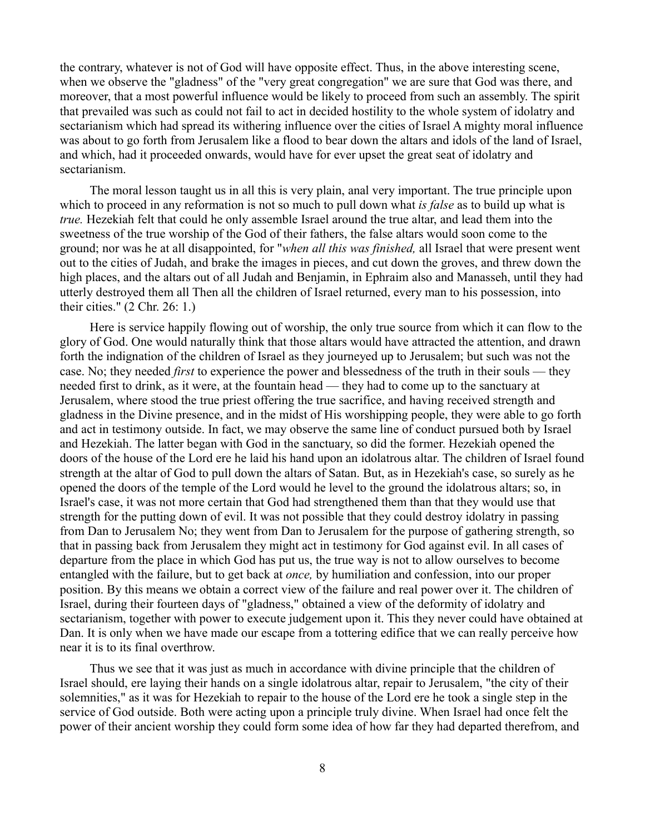the contrary, whatever is not of God will have opposite effect. Thus, in the above interesting scene, when we observe the "gladness" of the "very great congregation" we are sure that God was there, and moreover, that a most powerful influence would be likely to proceed from such an assembly. The spirit that prevailed was such as could not fail to act in decided hostility to the whole system of idolatry and sectarianism which had spread its withering influence over the cities of Israel A mighty moral influence was about to go forth from Jerusalem like a flood to bear down the altars and idols of the land of Israel, and which, had it proceeded onwards, would have for ever upset the great seat of idolatry and sectarianism.

The moral lesson taught us in all this is very plain, anal very important. The true principle upon which to proceed in any reformation is not so much to pull down what *is false* as to build up what is *true.* Hezekiah felt that could he only assemble Israel around the true altar, and lead them into the sweetness of the true worship of the God of their fathers, the false altars would soon come to the ground; nor was he at all disappointed, for "*when all this was finished,* all Israel that were present went out to the cities of Judah, and brake the images in pieces, and cut down the groves, and threw down the high places, and the altars out of all Judah and Benjamin, in Ephraim also and Manasseh, until they had utterly destroyed them all Then all the children of Israel returned, every man to his possession, into their cities." (2 Chr. 26: 1.)

Here is service happily flowing out of worship, the only true source from which it can flow to the glory of God. One would naturally think that those altars would have attracted the attention, and drawn forth the indignation of the children of Israel as they journeyed up to Jerusalem; but such was not the case. No; they needed *first* to experience the power and blessedness of the truth in their souls — they needed first to drink, as it were, at the fountain head — they had to come up to the sanctuary at Jerusalem, where stood the true priest offering the true sacrifice, and having received strength and gladness in the Divine presence, and in the midst of His worshipping people, they were able to go forth and act in testimony outside. In fact, we may observe the same line of conduct pursued both by Israel and Hezekiah. The latter began with God in the sanctuary, so did the former. Hezekiah opened the doors of the house of the Lord ere he laid his hand upon an idolatrous altar. The children of Israel found strength at the altar of God to pull down the altars of Satan. But, as in Hezekiah's case, so surely as he opened the doors of the temple of the Lord would he level to the ground the idolatrous altars; so, in Israel's case, it was not more certain that God had strengthened them than that they would use that strength for the putting down of evil. It was not possible that they could destroy idolatry in passing from Dan to Jerusalem No; they went from Dan to Jerusalem for the purpose of gathering strength, so that in passing back from Jerusalem they might act in testimony for God against evil. In all cases of departure from the place in which God has put us, the true way is not to allow ourselves to become entangled with the failure, but to get back at *once,* by humiliation and confession, into our proper position. By this means we obtain a correct view of the failure and real power over it. The children of Israel, during their fourteen days of "gladness," obtained a view of the deformity of idolatry and sectarianism, together with power to execute judgement upon it. This they never could have obtained at Dan. It is only when we have made our escape from a tottering edifice that we can really perceive how near it is to its final overthrow.

Thus we see that it was just as much in accordance with divine principle that the children of Israel should, ere laying their hands on a single idolatrous altar, repair to Jerusalem, "the city of their solemnities," as it was for Hezekiah to repair to the house of the Lord ere he took a single step in the service of God outside. Both were acting upon a principle truly divine. When Israel had once felt the power of their ancient worship they could form some idea of how far they had departed therefrom, and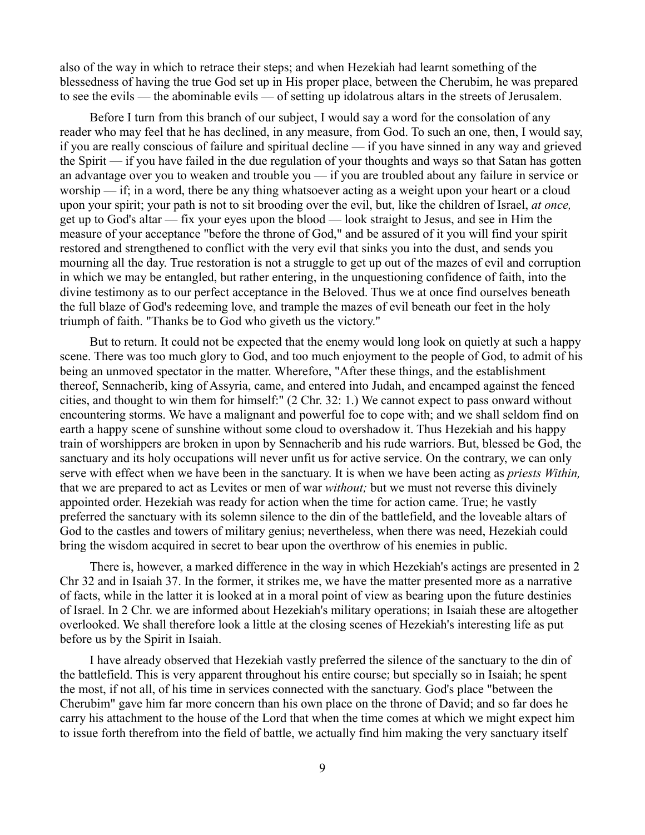also of the way in which to retrace their steps; and when Hezekiah had learnt something of the blessedness of having the true God set up in His proper place, between the Cherubim, he was prepared to see the evils — the abominable evils — of setting up idolatrous altars in the streets of Jerusalem.

Before I turn from this branch of our subject, I would say a word for the consolation of any reader who may feel that he has declined, in any measure, from God. To such an one, then, I would say, if you are really conscious of failure and spiritual decline — if you have sinned in any way and grieved the Spirit — if you have failed in the due regulation of your thoughts and ways so that Satan has gotten an advantage over you to weaken and trouble you — if you are troubled about any failure in service or worship — if; in a word, there be any thing whatsoever acting as a weight upon your heart or a cloud upon your spirit; your path is not to sit brooding over the evil, but, like the children of Israel, *at once,* get up to God's altar — fix your eyes upon the blood — look straight to Jesus, and see in Him the measure of your acceptance "before the throne of God," and be assured of it you will find your spirit restored and strengthened to conflict with the very evil that sinks you into the dust, and sends you mourning all the day. True restoration is not a struggle to get up out of the mazes of evil and corruption in which we may be entangled, but rather entering, in the unquestioning confidence of faith, into the divine testimony as to our perfect acceptance in the Beloved. Thus we at once find ourselves beneath the full blaze of God's redeeming love, and trample the mazes of evil beneath our feet in the holy triumph of faith. "Thanks be to God who giveth us the victory."

But to return. It could not be expected that the enemy would long look on quietly at such a happy scene. There was too much glory to God, and too much enjoyment to the people of God, to admit of his being an unmoved spectator in the matter. Wherefore, "After these things, and the establishment thereof, Sennacherib, king of Assyria, came, and entered into Judah, and encamped against the fenced cities, and thought to win them for himself:" (2 Chr. 32: 1.) We cannot expect to pass onward without encountering storms. We have a malignant and powerful foe to cope with; and we shall seldom find on earth a happy scene of sunshine without some cloud to overshadow it. Thus Hezekiah and his happy train of worshippers are broken in upon by Sennacherib and his rude warriors. But, blessed be God, the sanctuary and its holy occupations will never unfit us for active service. On the contrary, we can only serve with effect when we have been in the sanctuary. It is when we have been acting as *priests Within,* that we are prepared to act as Levites or men of war *without;* but we must not reverse this divinely appointed order. Hezekiah was ready for action when the time for action came. True; he vastly preferred the sanctuary with its solemn silence to the din of the battlefield, and the loveable altars of God to the castles and towers of military genius; nevertheless, when there was need, Hezekiah could bring the wisdom acquired in secret to bear upon the overthrow of his enemies in public.

There is, however, a marked difference in the way in which Hezekiah's actings are presented in 2 Chr 32 and in Isaiah 37. In the former, it strikes me, we have the matter presented more as a narrative of facts, while in the latter it is looked at in a moral point of view as bearing upon the future destinies of Israel. In 2 Chr. we are informed about Hezekiah's military operations; in Isaiah these are altogether overlooked. We shall therefore look a little at the closing scenes of Hezekiah's interesting life as put before us by the Spirit in Isaiah.

I have already observed that Hezekiah vastly preferred the silence of the sanctuary to the din of the battlefield. This is very apparent throughout his entire course; but specially so in Isaiah; he spent the most, if not all, of his time in services connected with the sanctuary. God's place "between the Cherubim" gave him far more concern than his own place on the throne of David; and so far does he carry his attachment to the house of the Lord that when the time comes at which we might expect him to issue forth therefrom into the field of battle, we actually find him making the very sanctuary itself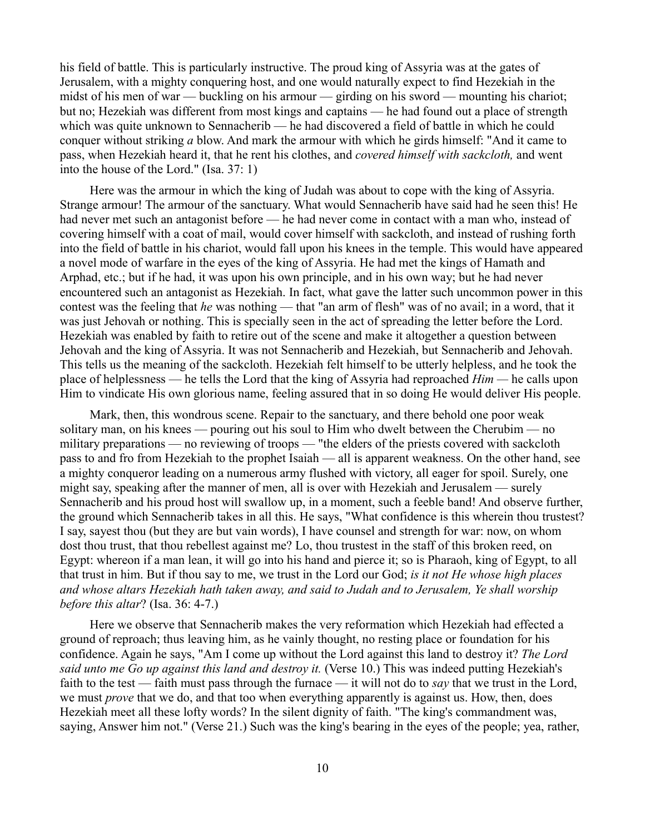his field of battle. This is particularly instructive. The proud king of Assyria was at the gates of Jerusalem, with a mighty conquering host, and one would naturally expect to find Hezekiah in the midst of his men of war — buckling on his armour — girding on his sword — mounting his chariot; but no; Hezekiah was different from most kings and captains — he had found out a place of strength which was quite unknown to Sennacherib — he had discovered a field of battle in which he could conquer without striking *a* blow. And mark the armour with which he girds himself: "And it came to pass, when Hezekiah heard it, that he rent his clothes, and *covered himself with sackcloth,* and went into the house of the Lord." (Isa. 37: 1)

Here was the armour in which the king of Judah was about to cope with the king of Assyria. Strange armour! The armour of the sanctuary. What would Sennacherib have said had he seen this! He had never met such an antagonist before — he had never come in contact with a man who, instead of covering himself with a coat of mail, would cover himself with sackcloth, and instead of rushing forth into the field of battle in his chariot, would fall upon his knees in the temple. This would have appeared a novel mode of warfare in the eyes of the king of Assyria. He had met the kings of Hamath and Arphad, etc.; but if he had, it was upon his own principle, and in his own way; but he had never encountered such an antagonist as Hezekiah. In fact, what gave the latter such uncommon power in this contest was the feeling that *he* was nothing — that "an arm of flesh" was of no avail; in a word, that it was just Jehovah or nothing. This is specially seen in the act of spreading the letter before the Lord. Hezekiah was enabled by faith to retire out of the scene and make it altogether a question between Jehovah and the king of Assyria. It was not Sennacherib and Hezekiah, but Sennacherib and Jehovah. This tells us the meaning of the sackcloth. Hezekiah felt himself to be utterly helpless, and he took the place of helplessness — he tells the Lord that the king of Assyria had reproached *Him —* he calls upon Him to vindicate His own glorious name, feeling assured that in so doing He would deliver His people.

Mark, then, this wondrous scene. Repair to the sanctuary, and there behold one poor weak solitary man, on his knees — pouring out his soul to Him who dwelt between the Cherubim — no military preparations — no reviewing of troops — "the elders of the priests covered with sackcloth pass to and fro from Hezekiah to the prophet Isaiah — all is apparent weakness. On the other hand, see a mighty conqueror leading on a numerous army flushed with victory, all eager for spoil. Surely, one might say, speaking after the manner of men, all is over with Hezekiah and Jerusalem — surely Sennacherib and his proud host will swallow up, in a moment, such a feeble band! And observe further, the ground which Sennacherib takes in all this. He says, "What confidence is this wherein thou trustest? I say, sayest thou (but they are but vain words), I have counsel and strength for war: now, on whom dost thou trust, that thou rebellest against me? Lo, thou trustest in the staff of this broken reed, on Egypt: whereon if a man lean, it will go into his hand and pierce it; so is Pharaoh, king of Egypt, to all that trust in him. But if thou say to me, we trust in the Lord our God; *is it not He whose high places and whose altars Hezekiah hath taken away, and said to Judah and to Jerusalem, Ye shall worship before this altar*? (Isa. 36: 4-7.)

Here we observe that Sennacherib makes the very reformation which Hezekiah had effected a ground of reproach; thus leaving him, as he vainly thought, no resting place or foundation for his confidence. Again he says, "Am I come up without the Lord against this land to destroy it? *The Lord said unto me Go up against this land and destroy it.* (Verse 10.) This was indeed putting Hezekiah's faith to the test — faith must pass through the furnace — it will not do to *say* that we trust in the Lord, we must *prove* that we do, and that too when everything apparently is against us. How, then, does Hezekiah meet all these lofty words? In the silent dignity of faith. "The king's commandment was, saying, Answer him not." (Verse 21.) Such was the king's bearing in the eyes of the people; yea, rather,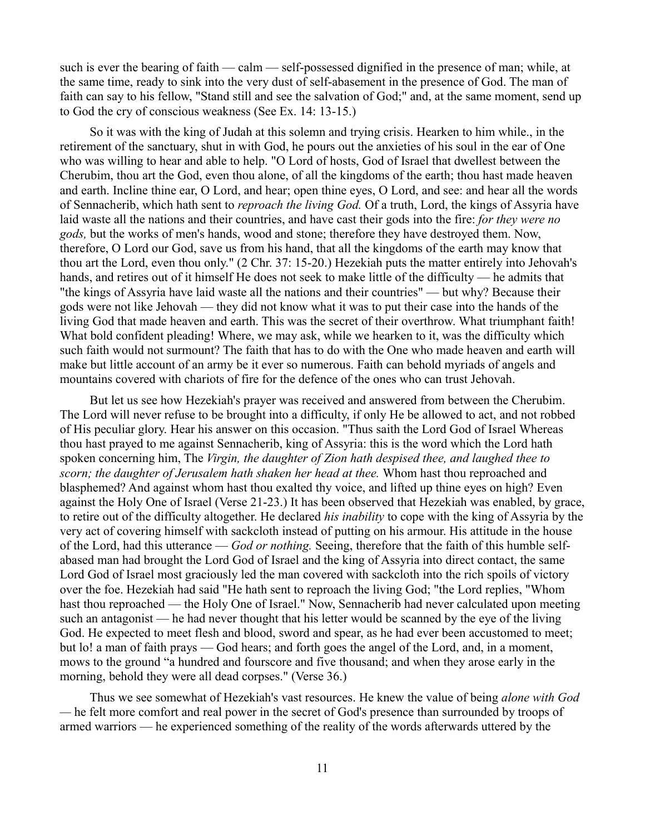such is ever the bearing of faith — calm — self-possessed dignified in the presence of man; while, at the same time, ready to sink into the very dust of self-abasement in the presence of God. The man of faith can say to his fellow, "Stand still and see the salvation of God;" and, at the same moment, send up to God the cry of conscious weakness (See Ex. 14: 13-15.)

So it was with the king of Judah at this solemn and trying crisis. Hearken to him while., in the retirement of the sanctuary, shut in with God, he pours out the anxieties of his soul in the ear of One who was willing to hear and able to help. "O Lord of hosts, God of Israel that dwellest between the Cherubim, thou art the God, even thou alone, of all the kingdoms of the earth; thou hast made heaven and earth. Incline thine ear, O Lord, and hear; open thine eyes, O Lord, and see: and hear all the words of Sennacherib, which hath sent to *reproach the living God.* Of a truth, Lord, the kings of Assyria have laid waste all the nations and their countries, and have cast their gods into the fire: *for they were no gods,* but the works of men's hands, wood and stone; therefore they have destroyed them. Now, therefore, O Lord our God, save us from his hand, that all the kingdoms of the earth may know that thou art the Lord, even thou only." (2 Chr. 37: 15-20.) Hezekiah puts the matter entirely into Jehovah's hands, and retires out of it himself He does not seek to make little of the difficulty — he admits that "the kings of Assyria have laid waste all the nations and their countries" — but why? Because their gods were not like Jehovah — they did not know what it was to put their case into the hands of the living God that made heaven and earth. This was the secret of their overthrow. What triumphant faith! What bold confident pleading! Where, we may ask, while we hearken to it, was the difficulty which such faith would not surmount? The faith that has to do with the One who made heaven and earth will make but little account of an army be it ever so numerous. Faith can behold myriads of angels and mountains covered with chariots of fire for the defence of the ones who can trust Jehovah.

But let us see how Hezekiah's prayer was received and answered from between the Cherubim. The Lord will never refuse to be brought into a difficulty, if only He be allowed to act, and not robbed of His peculiar glory. Hear his answer on this occasion. "Thus saith the Lord God of Israel Whereas thou hast prayed to me against Sennacherib, king of Assyria: this is the word which the Lord hath spoken concerning him, The *Virgin, the daughter of Zion hath despised thee, and laughed thee to scorn; the daughter of Jerusalem hath shaken her head at thee.* Whom hast thou reproached and blasphemed? And against whom hast thou exalted thy voice, and lifted up thine eyes on high? Even against the Holy One of Israel (Verse 21-23.) It has been observed that Hezekiah was enabled, by grace, to retire out of the difficulty altogether. He declared *his inability* to cope with the king of Assyria by the very act of covering himself with sackcloth instead of putting on his armour. His attitude in the house of the Lord, had this utterance — *God or nothing.* Seeing, therefore that the faith of this humble selfabased man had brought the Lord God of Israel and the king of Assyria into direct contact, the same Lord God of Israel most graciously led the man covered with sackcloth into the rich spoils of victory over the foe. Hezekiah had said "He hath sent to reproach the living God; "the Lord replies, "Whom hast thou reproached — the Holy One of Israel." Now, Sennacherib had never calculated upon meeting such an antagonist — he had never thought that his letter would be scanned by the eye of the living God. He expected to meet flesh and blood, sword and spear, as he had ever been accustomed to meet; but lo! a man of faith prays — God hears; and forth goes the angel of the Lord, and, in a moment, mows to the ground "a hundred and fourscore and five thousand; and when they arose early in the morning, behold they were all dead corpses." (Verse 36.)

Thus we see somewhat of Hezekiah's vast resources. He knew the value of being *alone with God —* he felt more comfort and real power in the secret of God's presence than surrounded by troops of armed warriors — he experienced something of the reality of the words afterwards uttered by the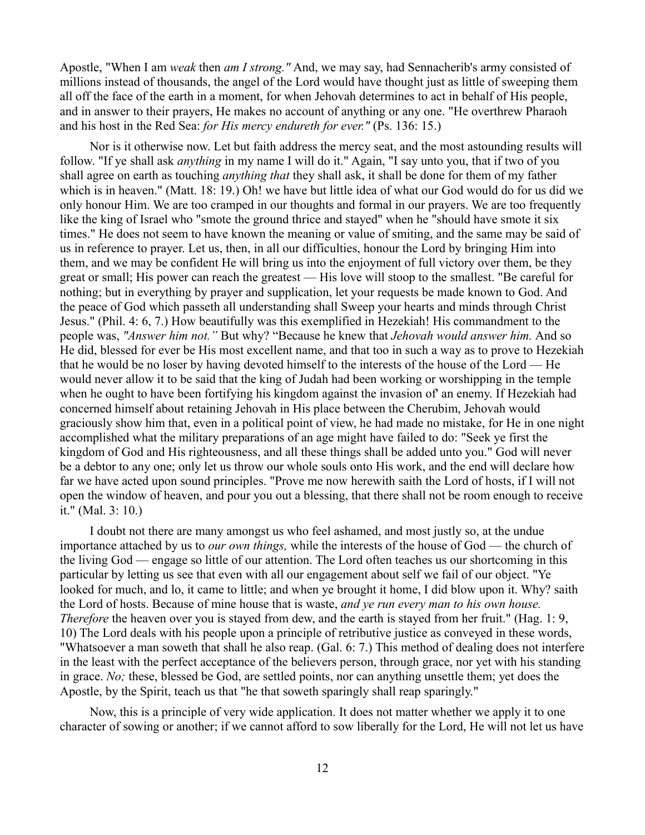Apostle, "When I am *weak* then *am I strong."* And, we may say, had Sennacherib's army consisted of millions instead of thousands, the angel of the Lord would have thought just as little of sweeping them all off the face of the earth in a moment, for when Jehovah determines to act in behalf of His people, and in answer to their prayers, He makes no account of anything or any one. "He overthrew Pharaoh and his host in the Red Sea: *for His mercy endureth for ever."* (Ps. 136: 15.)

Nor is it otherwise now. Let but faith address the mercy seat, and the most astounding results will follow. "If ye shall ask *anything* in my name I will do it." Again, "I say unto you, that if two of you shall agree on earth as touching *anything that* they shall ask, it shall be done for them of my father which is in heaven." (Matt. 18: 19.) Oh! we have but little idea of what our God would do for us did we only honour Him. We are too cramped in our thoughts and formal in our prayers. We are too frequently like the king of Israel who "smote the ground thrice and stayed" when he "should have smote it six times." He does not seem to have known the meaning or value of smiting, and the same may be said of us in reference to prayer. Let us, then, in all our difficulties, honour the Lord by bringing Him into them, and we may be confident He will bring us into the enjoyment of full victory over them, be they great or small; His power can reach the greatest — His love will stoop to the smallest. "Be careful for nothing; but in everything by prayer and supplication, let your requests be made known to God. And the peace of God which passeth all understanding shall Sweep your hearts and minds through Christ Jesus." (Phil. 4: 6, 7.) How beautifully was this exemplified in Hezekiah! His commandment to the people was, *"Answer him not."* But why? "Because he knew that *Jehovah would answer him.* And so He did, blessed for ever be His most excellent name, and that too in such a way as to prove to Hezekiah that he would be no loser by having devoted himself to the interests of the house of the Lord — He would never allow it to be said that the king of Judah had been working or worshipping in the temple when he ought to have been fortifying his kingdom against the invasion of' an enemy. If Hezekiah had concerned himself about retaining Jehovah in His place between the Cherubim, Jehovah would graciously show him that, even in a political point of view, he had made no mistake, for He in one night accomplished what the military preparations of an age might have failed to do: "Seek ye first the kingdom of God and His righteousness, and all these things shall be added unto you." God will never be a debtor to any one; only let us throw our whole souls onto His work, and the end will declare how far we have acted upon sound principles. "Prove me now herewith saith the Lord of hosts, if I will not open the window of heaven, and pour you out a blessing, that there shall not be room enough to receive it." (Mal. 3: 10.)

I doubt not there are many amongst us who feel ashamed, and most justly so, at the undue importance attached by us to *our own things,* while the interests of the house of God — the church of the living God — engage so little of our attention. The Lord often teaches us our shortcoming in this particular by letting us see that even with all our engagement about self we fail of our object. "Ye looked for much, and lo, it came to little; and when ye brought it home, I did blow upon it. Why? saith the Lord of hosts. Because of mine house that is waste, *and ye run every man to his own house. Therefore* the heaven over you is stayed from dew, and the earth is stayed from her fruit." (Hag. 1: 9, 10) The Lord deals with his people upon a principle of retributive justice as conveyed in these words, "Whatsoever a man soweth that shall he also reap. (Gal. 6: 7.) This method of dealing does not interfere in the least with the perfect acceptance of the believers person, through grace, nor yet with his standing in grace. *No;* these, blessed be God, are settled points, nor can anything unsettle them; yet does the Apostle, by the Spirit, teach us that "he that soweth sparingly shall reap sparingly."

Now, this is a principle of very wide application. It does not matter whether we apply it to one character of sowing or another; if we cannot afford to sow liberally for the Lord, He will not let us have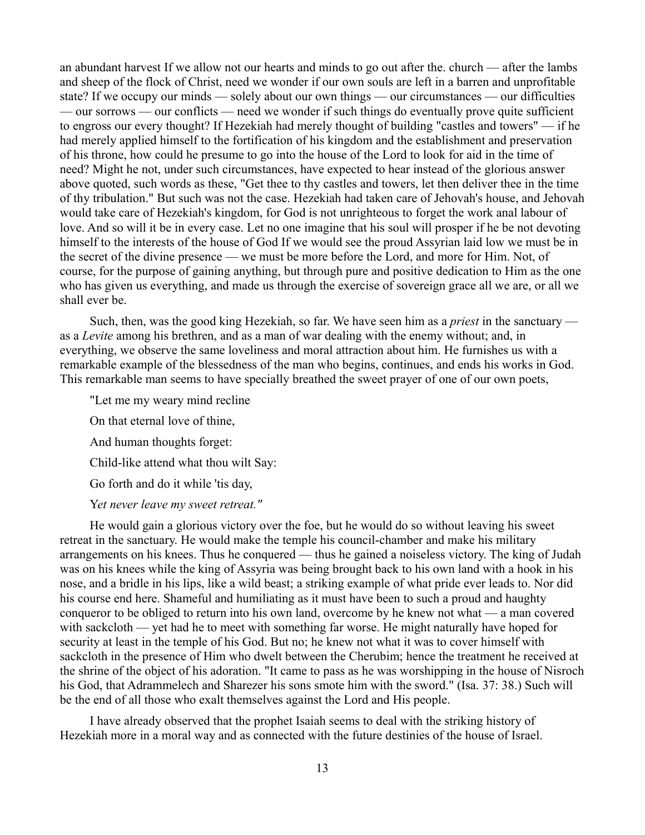an abundant harvest If we allow not our hearts and minds to go out after the. church — after the lambs and sheep of the flock of Christ, need we wonder if our own souls are left in a barren and unprofitable state? If we occupy our minds — solely about our own things — our circumstances — our difficulties — our sorrows — our conflicts — need we wonder if such things do eventually prove quite sufficient to engross our every thought? If Hezekiah had merely thought of building "castles and towers" — if he had merely applied himself to the fortification of his kingdom and the establishment and preservation of his throne, how could he presume to go into the house of the Lord to look for aid in the time of need? Might he not, under such circumstances, have expected to hear instead of the glorious answer above quoted, such words as these, "Get thee to thy castles and towers, let then deliver thee in the time of thy tribulation." But such was not the case. Hezekiah had taken care of Jehovah's house, and Jehovah would take care of Hezekiah's kingdom, for God is not unrighteous to forget the work anal labour of love. And so will it be in every case. Let no one imagine that his soul will prosper if he be not devoting himself to the interests of the house of God If we would see the proud Assyrian laid low we must be in the secret of the divine presence — we must be more before the Lord, and more for Him. Not, of course, for the purpose of gaining anything, but through pure and positive dedication to Him as the one who has given us everything, and made us through the exercise of sovereign grace all we are, or all we shall ever be.

Such, then, was the good king Hezekiah, so far. We have seen him as a *priest* in the sanctuary as a *Levite* among his brethren, and as a man of war dealing with the enemy without; and, in everything, we observe the same loveliness and moral attraction about him. He furnishes us with a remarkable example of the blessedness of the man who begins, continues, and ends his works in God. This remarkable man seems to have specially breathed the sweet prayer of one of our own poets,

"Let me my weary mind recline

On that eternal love of thine,

And human thoughts forget:

Child-like attend what thou wilt Say:

Go forth and do it while 'tis day,

Y*et never leave my sweet retreat."*

He would gain a glorious victory over the foe, but he would do so without leaving his sweet retreat in the sanctuary. He would make the temple his council-chamber and make his military arrangements on his knees. Thus he conquered — thus he gained a noiseless victory. The king of Judah was on his knees while the king of Assyria was being brought back to his own land with a hook in his nose, and a bridle in his lips, like a wild beast; a striking example of what pride ever leads to. Nor did his course end here. Shameful and humiliating as it must have been to such a proud and haughty conqueror to be obliged to return into his own land, overcome by he knew not what — a man covered with sackcloth — yet had he to meet with something far worse. He might naturally have hoped for security at least in the temple of his God. But no; he knew not what it was to cover himself with sackcloth in the presence of Him who dwelt between the Cherubim; hence the treatment he received at the shrine of the object of his adoration. "It came to pass as he was worshipping in the house of Nisroch his God, that Adrammelech and Sharezer his sons smote him with the sword." (Isa. 37: 38.) Such will be the end of all those who exalt themselves against the Lord and His people.

I have already observed that the prophet Isaiah seems to deal with the striking history of Hezekiah more in a moral way and as connected with the future destinies of the house of Israel.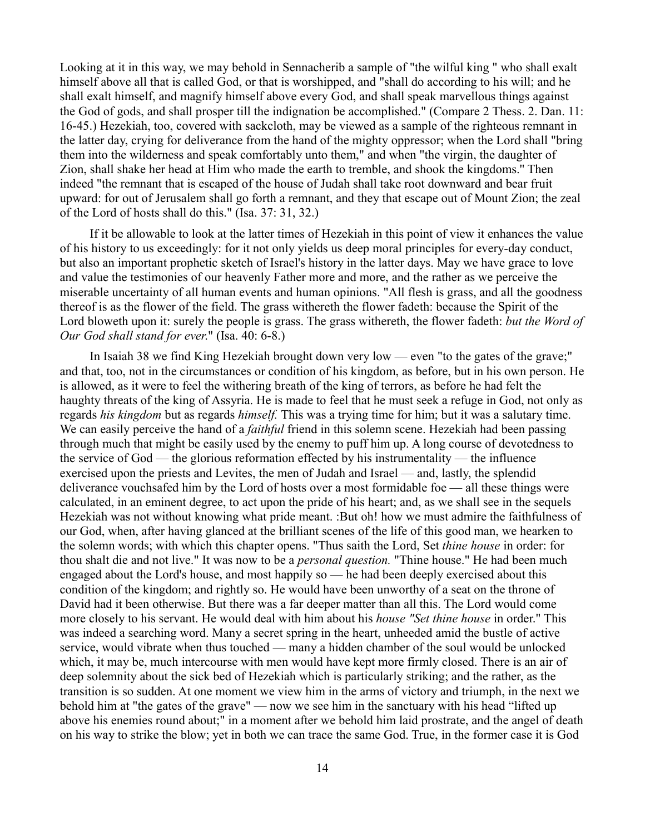Looking at it in this way, we may behold in Sennacherib a sample of "the wilful king " who shall exalt himself above all that is called God, or that is worshipped, and "shall do according to his will; and he shall exalt himself, and magnify himself above every God, and shall speak marvellous things against the God of gods, and shall prosper till the indignation be accomplished." (Compare 2 Thess. 2. Dan. 11: 16-45.) Hezekiah, too, covered with sackcloth, may be viewed as a sample of the righteous remnant in the latter day, crying for deliverance from the hand of the mighty oppressor; when the Lord shall "bring them into the wilderness and speak comfortably unto them," and when "the virgin, the daughter of Zion, shall shake her head at Him who made the earth to tremble, and shook the kingdoms.'' Then indeed "the remnant that is escaped of the house of Judah shall take root downward and bear fruit upward: for out of Jerusalem shall go forth a remnant, and they that escape out of Mount Zion; the zeal of the Lord of hosts shall do this." (Isa. 37: 31, 32.)

If it be allowable to look at the latter times of Hezekiah in this point of view it enhances the value of his history to us exceedingly: for it not only yields us deep moral principles for every-day conduct, but also an important prophetic sketch of Israel's history in the latter days. May we have grace to love and value the testimonies of our heavenly Father more and more, and the rather as we perceive the miserable uncertainty of all human events and human opinions. "All flesh is grass, and all the goodness thereof is as the flower of the field. The grass withereth the flower fadeth: because the Spirit of the Lord bloweth upon it: surely the people is grass. The grass withereth, the flower fadeth: *but the Word of Our God shall stand for ever*." (Isa. 40: 6-8.)

In Isaiah 38 we find King Hezekiah brought down very low — even "to the gates of the grave;" and that, too, not in the circumstances or condition of his kingdom, as before, but in his own person. He is allowed, as it were to feel the withering breath of the king of terrors, as before he had felt the haughty threats of the king of Assyria. He is made to feel that he must seek a refuge in God, not only as regards *his kingdom* but as regards *himself.* This was a trying time for him; but it was a salutary time. We can easily perceive the hand of a *faithful* friend in this solemn scene. Hezekiah had been passing through much that might be easily used by the enemy to puff him up. A long course of devotedness to the service of God — the glorious reformation effected by his instrumentality — the influence exercised upon the priests and Levites, the men of Judah and Israel — and, lastly, the splendid deliverance vouchsafed him by the Lord of hosts over a most formidable foe — all these things were calculated, in an eminent degree, to act upon the pride of his heart; and, as we shall see in the sequels Hezekiah was not without knowing what pride meant. :But oh! how we must admire the faithfulness of our God, when, after having glanced at the brilliant scenes of the life of this good man, we hearken to the solemn words; with which this chapter opens. "Thus saith the Lord, Set *thine house* in order: for thou shalt die and not live." It was now to be a *personal question.* "Thine house." He had been much engaged about the Lord's house, and most happily so — he had been deeply exercised about this condition of the kingdom; and rightly so. He would have been unworthy of a seat on the throne of David had it been otherwise. But there was a far deeper matter than all this. The Lord would come more closely to his servant. He would deal with him about his *house "Set thine house* in order." This was indeed a searching word. Many a secret spring in the heart, unheeded amid the bustle of active service, would vibrate when thus touched — many a hidden chamber of the soul would be unlocked which, it may be, much intercourse with men would have kept more firmly closed. There is an air of deep solemnity about the sick bed of Hezekiah which is particularly striking; and the rather, as the transition is so sudden. At one moment we view him in the arms of victory and triumph, in the next we behold him at "the gates of the grave" — now we see him in the sanctuary with his head "lifted up above his enemies round about;" in a moment after we behold him laid prostrate, and the angel of death on his way to strike the blow; yet in both we can trace the same God. True, in the former case it is God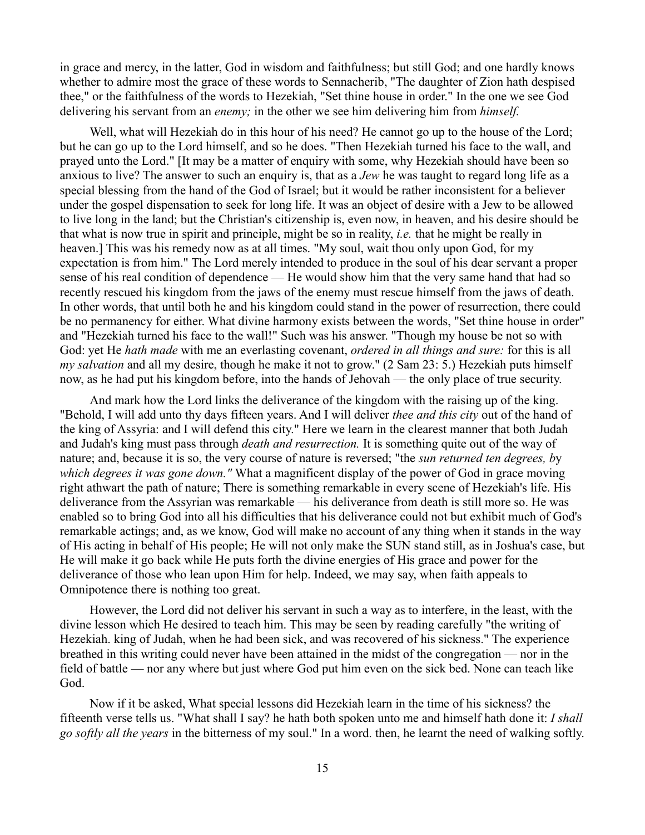in grace and mercy, in the latter, God in wisdom and faithfulness; but still God; and one hardly knows whether to admire most the grace of these words to Sennacherib, "The daughter of Zion hath despised thee," or the faithfulness of the words to Hezekiah, "Set thine house in order." In the one we see God delivering his servant from an *enemy;* in the other we see him delivering him from *himself.*

Well, what will Hezekiah do in this hour of his need? He cannot go up to the house of the Lord; but he can go up to the Lord himself, and so he does. "Then Hezekiah turned his face to the wall, and prayed unto the Lord." [It may be a matter of enquiry with some, why Hezekiah should have been so anxious to live? The answer to such an enquiry is, that as a *Jew* he was taught to regard long life as a special blessing from the hand of the God of Israel; but it would be rather inconsistent for a believer under the gospel dispensation to seek for long life. It was an object of desire with a Jew to be allowed to live long in the land; but the Christian's citizenship is, even now, in heaven, and his desire should be that what is now true in spirit and principle, might be so in reality, *i.e.* that he might be really in heaven.] This was his remedy now as at all times. "My soul, wait thou only upon God, for my expectation is from him." The Lord merely intended to produce in the soul of his dear servant a proper sense of his real condition of dependence — He would show him that the very same hand that had so recently rescued his kingdom from the jaws of the enemy must rescue himself from the jaws of death. In other words, that until both he and his kingdom could stand in the power of resurrection, there could be no permanency for either. What divine harmony exists between the words, "Set thine house in order" and "Hezekiah turned his face to the wall!" Such was his answer. "Though my house be not so with God: yet He *hath made* with me an everlasting covenant, *ordered in all things and sure:* for this is all *my salvation* and all my desire, though he make it not to grow." (2 Sam 23: 5.) Hezekiah puts himself now, as he had put his kingdom before, into the hands of Jehovah — the only place of true security.

And mark how the Lord links the deliverance of the kingdom with the raising up of the king. "Behold, I will add unto thy days fifteen years. And I will deliver *thee and this city* out of the hand of the king of Assyria: and I will defend this city." Here we learn in the clearest manner that both Judah and Judah's king must pass through *death and resurrection.* It is something quite out of the way of nature; and, because it is so, the very course of nature is reversed; "the *sun returned ten degrees, b*y *which degrees it was gone down."* What a magnificent display of the power of God in grace moving right athwart the path of nature; There is something remarkable in every scene of Hezekiah's life. His deliverance from the Assyrian was remarkable — his deliverance from death is still more so. He was enabled so to bring God into all his difficulties that his deliverance could not but exhibit much of God's remarkable actings; and, as we know, God will make no account of any thing when it stands in the way of His acting in behalf of His people; He will not only make the SUN stand still, as in Joshua's case, but He will make it go back while He puts forth the divine energies of His grace and power for the deliverance of those who lean upon Him for help. Indeed, we may say, when faith appeals to Omnipotence there is nothing too great.

However, the Lord did not deliver his servant in such a way as to interfere, in the least, with the divine lesson which He desired to teach him. This may be seen by reading carefully "the writing of Hezekiah. king of Judah, when he had been sick, and was recovered of his sickness." The experience breathed in this writing could never have been attained in the midst of the congregation — nor in the field of battle — nor any where but just where God put him even on the sick bed. None can teach like God.

Now if it be asked, What special lessons did Hezekiah learn in the time of his sickness? the fifteenth verse tells us. "What shall I say? he hath both spoken unto me and himself hath done it: *I shall go softly all the years* in the bitterness of my soul." In a word. then, he learnt the need of walking softly.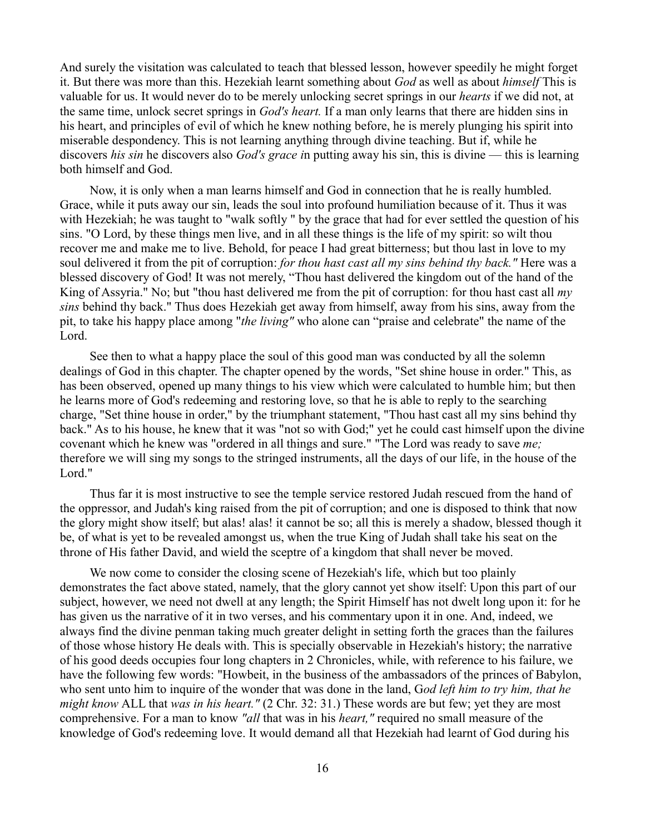And surely the visitation was calculated to teach that blessed lesson, however speedily he might forget it. But there was more than this. Hezekiah learnt something about *God* as well as about *himself* This is valuable for us. It would never do to be merely unlocking secret springs in our *hearts* if we did not, at the same time, unlock secret springs in *God's heart.* If a man only learns that there are hidden sins in his heart, and principles of evil of which he knew nothing before, he is merely plunging his spirit into miserable despondency. This is not learning anything through divine teaching. But if, while he discovers *his sin* he discovers also *God's grace i*n putting away his sin, this is divine — this is learning both himself and God.

Now, it is only when a man learns himself and God in connection that he is really humbled. Grace, while it puts away our sin, leads the soul into profound humiliation because of it. Thus it was with Hezekiah; he was taught to "walk softly " by the grace that had for ever settled the question of his sins. "O Lord, by these things men live, and in all these things is the life of my spirit: so wilt thou recover me and make me to live. Behold, for peace I had great bitterness; but thou last in love to my soul delivered it from the pit of corruption: *for thou hast cast all my sins behind thy back."* Here was a blessed discovery of God! It was not merely, "Thou hast delivered the kingdom out of the hand of the King of Assyria." No; but "thou hast delivered me from the pit of corruption: for thou hast cast all *my sins* behind thy back." Thus does Hezekiah get away from himself, away from his sins, away from the pit, to take his happy place among "*the living"* who alone can "praise and celebrate" the name of the Lord.

See then to what a happy place the soul of this good man was conducted by all the solemn dealings of God in this chapter. The chapter opened by the words, "Set shine house in order." This, as has been observed, opened up many things to his view which were calculated to humble him; but then he learns more of God's redeeming and restoring love, so that he is able to reply to the searching charge, "Set thine house in order," by the triumphant statement, "Thou hast cast all my sins behind thy back." As to his house, he knew that it was "not so with God;" yet he could cast himself upon the divine covenant which he knew was "ordered in all things and sure." "The Lord was ready to save *me;* therefore we will sing my songs to the stringed instruments, all the days of our life, in the house of the Lord."

Thus far it is most instructive to see the temple service restored Judah rescued from the hand of the oppressor, and Judah's king raised from the pit of corruption; and one is disposed to think that now the glory might show itself; but alas! alas! it cannot be so; all this is merely a shadow, blessed though it be, of what is yet to be revealed amongst us, when the true King of Judah shall take his seat on the throne of His father David, and wield the sceptre of a kingdom that shall never be moved.

We now come to consider the closing scene of Hezekiah's life, which but too plainly demonstrates the fact above stated, namely, that the glory cannot yet show itself: Upon this part of our subject, however, we need not dwell at any length; the Spirit Himself has not dwelt long upon it: for he has given us the narrative of it in two verses, and his commentary upon it in one. And, indeed, we always find the divine penman taking much greater delight in setting forth the graces than the failures of those whose history He deals with. This is specially observable in Hezekiah's history; the narrative of his good deeds occupies four long chapters in 2 Chronicles, while, with reference to his failure, we have the following few words: "Howbeit, in the business of the ambassadors of the princes of Babylon, who sent unto him to inquire of the wonder that was done in the land, G*od left him to try him, that he might know ALL that was in his heart."* (2 Chr. 32: 31.) These words are but few; yet they are most comprehensive. For a man to know *"all* that was in his *heart,"* required no small measure of the knowledge of God's redeeming love. It would demand all that Hezekiah had learnt of God during his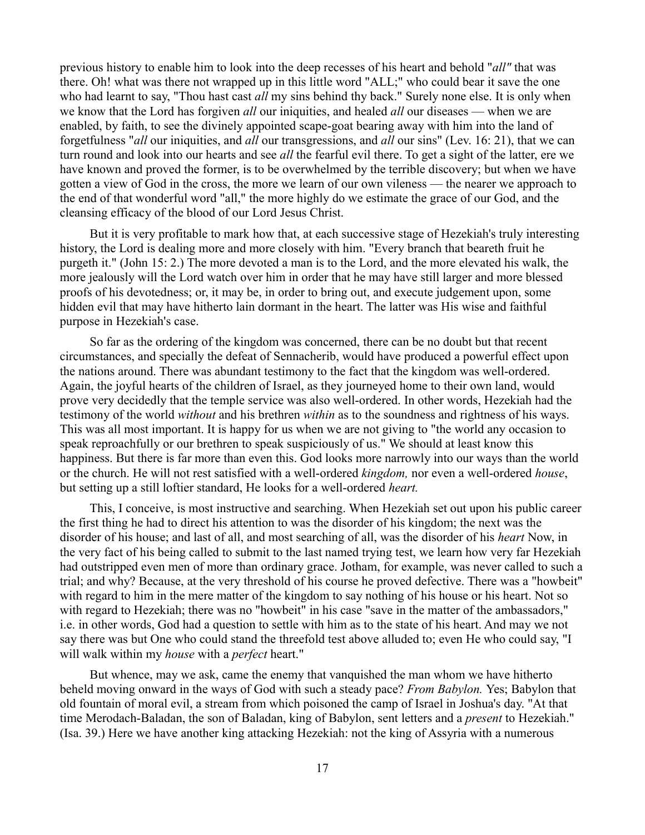previous history to enable him to look into the deep recesses of his heart and behold "*all"* that was there. Oh! what was there not wrapped up in this little word "ALL;" who could bear it save the one who had learnt to say, "Thou hast cast *all* my sins behind thy back." Surely none else. It is only when we know that the Lord has forgiven *all* our iniquities, and healed *all* our diseases — when we are enabled, by faith, to see the divinely appointed scape-goat bearing away with him into the land of forgetfulness "*all* our iniquities, and *all* our transgressions, and *all* our sins" (Lev. 16: 21), that we can turn round and look into our hearts and see *all* the fearful evil there. To get a sight of the latter, ere we have known and proved the former, is to be overwhelmed by the terrible discovery; but when we have gotten a view of God in the cross, the more we learn of our own vileness — the nearer we approach to the end of that wonderful word "all," the more highly do we estimate the grace of our God, and the cleansing efficacy of the blood of our Lord Jesus Christ.

But it is very profitable to mark how that, at each successive stage of Hezekiah's truly interesting history, the Lord is dealing more and more closely with him. "Every branch that beareth fruit he purgeth it." (John 15: 2.) The more devoted a man is to the Lord, and the more elevated his walk, the more jealously will the Lord watch over him in order that he may have still larger and more blessed proofs of his devotedness; or, it may be, in order to bring out, and execute judgement upon, some hidden evil that may have hitherto lain dormant in the heart. The latter was His wise and faithful purpose in Hezekiah's case.

So far as the ordering of the kingdom was concerned, there can be no doubt but that recent circumstances, and specially the defeat of Sennacherib, would have produced a powerful effect upon the nations around. There was abundant testimony to the fact that the kingdom was well-ordered. Again, the joyful hearts of the children of Israel, as they journeyed home to their own land, would prove very decidedly that the temple service was also well-ordered. In other words, Hezekiah had the testimony of the world *without* and his brethren *within* as to the soundness and rightness of his ways. This was all most important. It is happy for us when we are not giving to "the world any occasion to speak reproachfully or our brethren to speak suspiciously of us." We should at least know this happiness. But there is far more than even this. God looks more narrowly into our ways than the world or the church. He will not rest satisfied with a well-ordered *kingdom,* nor even a well-ordered *house*, but setting up a still loftier standard, He looks for a well-ordered *heart.*

This, I conceive, is most instructive and searching. When Hezekiah set out upon his public career the first thing he had to direct his attention to was the disorder of his kingdom; the next was the disorder of his house; and last of all, and most searching of all, was the disorder of his *heart* Now, in the very fact of his being called to submit to the last named trying test, we learn how very far Hezekiah had outstripped even men of more than ordinary grace. Jotham, for example, was never called to such a trial; and why? Because, at the very threshold of his course he proved defective. There was a "howbeit" with regard to him in the mere matter of the kingdom to say nothing of his house or his heart. Not so with regard to Hezekiah; there was no "howbeit" in his case "save in the matter of the ambassadors," i.e. in other words, God had a question to settle with him as to the state of his heart. And may we not say there was but One who could stand the threefold test above alluded to; even He who could say, "I will walk within my *house* with a *perfect* heart."

But whence, may we ask, came the enemy that vanquished the man whom we have hitherto beheld moving onward in the ways of God with such a steady pace? *From Babylon.* Yes; Babylon that old fountain of moral evil, a stream from which poisoned the camp of Israel in Joshua's day. "At that time Merodach-Baladan, the son of Baladan, king of Babylon, sent letters and a *present* to Hezekiah." (Isa. 39.) Here we have another king attacking Hezekiah: not the king of Assyria with a numerous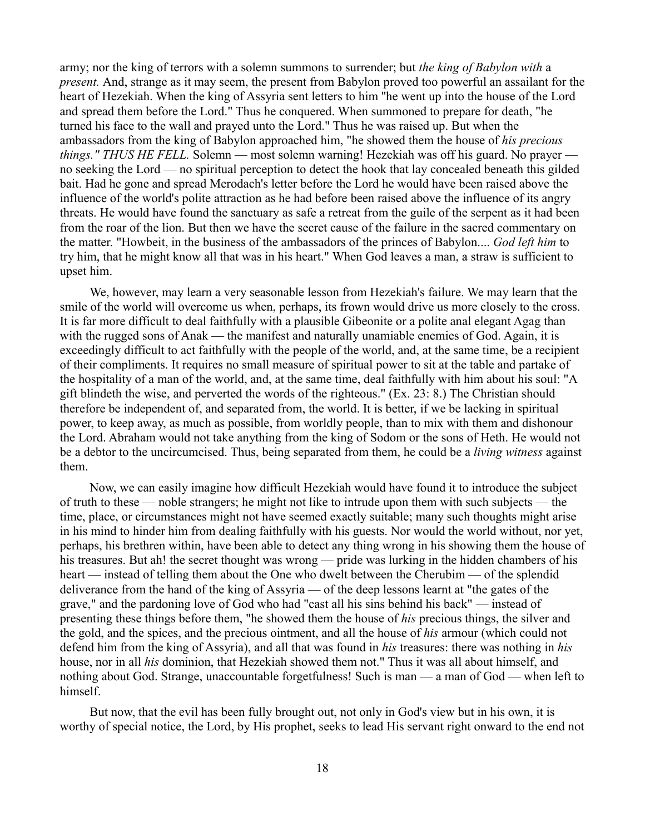army; nor the king of terrors with a solemn summons to surrender; but *the king of Babylon with* a *present.* And, strange as it may seem, the present from Babylon proved too powerful an assailant for the heart of Hezekiah. When the king of Assyria sent letters to him ''he went up into the house of the Lord and spread them before the Lord." Thus he conquered. When summoned to prepare for death, "he turned his face to the wall and prayed unto the Lord." Thus he was raised up. But when the ambassadors from the king of Babylon approached him, "he showed them the house of *his precious things." THUS HE FELL.* Solemn — most solemn warning! Hezekiah was off his guard. No prayer no seeking the Lord — no spiritual perception to detect the hook that lay concealed beneath this gilded bait. Had he gone and spread Merodach's letter before the Lord he would have been raised above the influence of the world's polite attraction as he had before been raised above the influence of its angry threats. He would have found the sanctuary as safe a retreat from the guile of the serpent as it had been from the roar of the lion. But then we have the secret cause of the failure in the sacred commentary on the matter. "Howbeit, in the business of the ambassadors of the princes of Babylon.... *God left him* to try him, that he might know all that was in his heart." When God leaves a man, a straw is sufficient to upset him.

We, however, may learn a very seasonable lesson from Hezekiah's failure. We may learn that the smile of the world will overcome us when, perhaps, its frown would drive us more closely to the cross. It is far more difficult to deal faithfully with a plausible Gibeonite or a polite anal elegant Agag than with the rugged sons of Anak — the manifest and naturally unamiable enemies of God. Again, it is exceedingly difficult to act faithfully with the people of the world, and, at the same time, be a recipient of their compliments. It requires no small measure of spiritual power to sit at the table and partake of the hospitality of a man of the world, and, at the same time, deal faithfully with him about his soul: "A gift blindeth the wise, and perverted the words of the righteous." (Ex. 23: 8.) The Christian should therefore be independent of, and separated from, the world. It is better, if we be lacking in spiritual power, to keep away, as much as possible, from worldly people, than to mix with them and dishonour the Lord. Abraham would not take anything from the king of Sodom or the sons of Heth. He would not be a debtor to the uncircumcised. Thus, being separated from them, he could be a *living witness* against them.

Now, we can easily imagine how difficult Hezekiah would have found it to introduce the subject of truth to these — noble strangers; he might not like to intrude upon them with such subjects — the time, place, or circumstances might not have seemed exactly suitable; many such thoughts might arise in his mind to hinder him from dealing faithfully with his guests. Nor would the world without, nor yet, perhaps, his brethren within, have been able to detect any thing wrong in his showing them the house of his treasures. But ah! the secret thought was wrong — pride was lurking in the hidden chambers of his heart — instead of telling them about the One who dwelt between the Cherubim — of the splendid deliverance from the hand of the king of Assyria — of the deep lessons learnt at "the gates of the grave," and the pardoning love of God who had "cast all his sins behind his back" — instead of presenting these things before them, "he showed them the house of *his* precious things, the silver and the gold, and the spices, and the precious ointment, and all the house of *his* armour (which could not defend him from the king of Assyria), and all that was found in *his* treasures: there was nothing in *his* house, nor in all *his* dominion, that Hezekiah showed them not." Thus it was all about himself, and nothing about God. Strange, unaccountable forgetfulness! Such is man — a man of God — when left to himself.

But now, that the evil has been fully brought out, not only in God's view but in his own, it is worthy of special notice, the Lord, by His prophet, seeks to lead His servant right onward to the end not